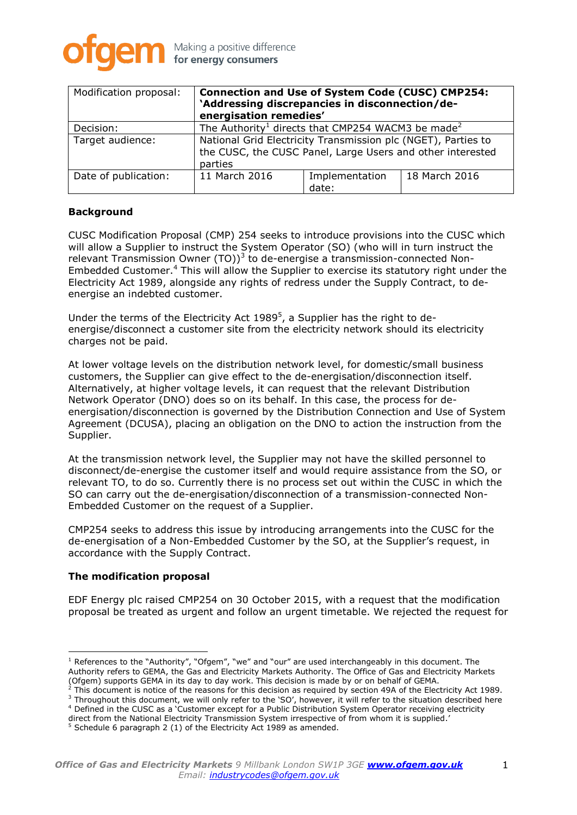

| Modification proposal: | <b>Connection and Use of System Code (CUSC) CMP254:</b><br>'Addressing discrepancies in disconnection/de-<br>energisation remedies'    |                         |               |
|------------------------|----------------------------------------------------------------------------------------------------------------------------------------|-------------------------|---------------|
| Decision:              | The Authority <sup>1</sup> directs that CMP254 WACM3 be made <sup>2</sup>                                                              |                         |               |
| Target audience:       | National Grid Electricity Transmission plc (NGET), Parties to<br>the CUSC, the CUSC Panel, Large Users and other interested<br>parties |                         |               |
| Date of publication:   | 11 March 2016                                                                                                                          | Implementation<br>date: | 18 March 2016 |

### **Background**

CUSC Modification Proposal (CMP) 254 seeks to introduce provisions into the CUSC which will allow a Supplier to instruct the System Operator (SO) (who will in turn instruct the relevant Transmission Owner (TO))<sup>3</sup> to de-energise a transmission-connected Non-Embedded Customer. <sup>4</sup> This will allow the Supplier to exercise its statutory right under the Electricity Act 1989, alongside any rights of redress under the Supply Contract, to deenergise an indebted customer.

Under the terms of the Electricity Act 1989<sup>5</sup>, a Supplier has the right to deenergise/disconnect a customer site from the electricity network should its electricity charges not be paid.

At lower voltage levels on the distribution network level, for domestic/small business customers, the Supplier can give effect to the de-energisation/disconnection itself. Alternatively, at higher voltage levels, it can request that the relevant Distribution Network Operator (DNO) does so on its behalf. In this case, the process for deenergisation/disconnection is governed by the Distribution Connection and Use of System Agreement (DCUSA), placing an obligation on the DNO to action the instruction from the Supplier.

At the transmission network level, the Supplier may not have the skilled personnel to disconnect/de-energise the customer itself and would require assistance from the SO, or relevant TO, to do so. Currently there is no process set out within the CUSC in which the SO can carry out the de-energisation/disconnection of a transmission-connected Non-Embedded Customer on the request of a Supplier.

CMP254 seeks to address this issue by introducing arrangements into the CUSC for the de-energisation of a Non-Embedded Customer by the SO, at the Supplier's request, in accordance with the Supply Contract.

#### **The modification proposal**

EDF Energy plc raised CMP254 on 30 October 2015, with a request that the modification proposal be treated as urgent and follow an urgent timetable. We rejected the request for

- <sup>2</sup> This document is notice of the reasons for this decision as required by section 49A of the Electricity Act 1989. <sup>3</sup> Throughout this document, we will only refer to the 'SO', however, it will refer to the situation described here
- <sup>4</sup> Defined in the CUSC as a 'Customer except for a Public Distribution System Operator receiving electricity

<sup>&</sup>lt;sup>1</sup> References to the "Authority", "Ofgem", "we" and "our" are used interchangeably in this document. The Authority refers to GEMA, the Gas and Electricity Markets Authority. The Office of Gas and Electricity Markets (Ofgem) supports GEMA in its day to day work. This decision is made by or on behalf of GEMA.

direct from the National Electricity Transmission System irrespective of from whom it is supplied.'

<sup>5</sup> Schedule 6 paragraph 2 (1) of the Electricity Act 1989 as amended.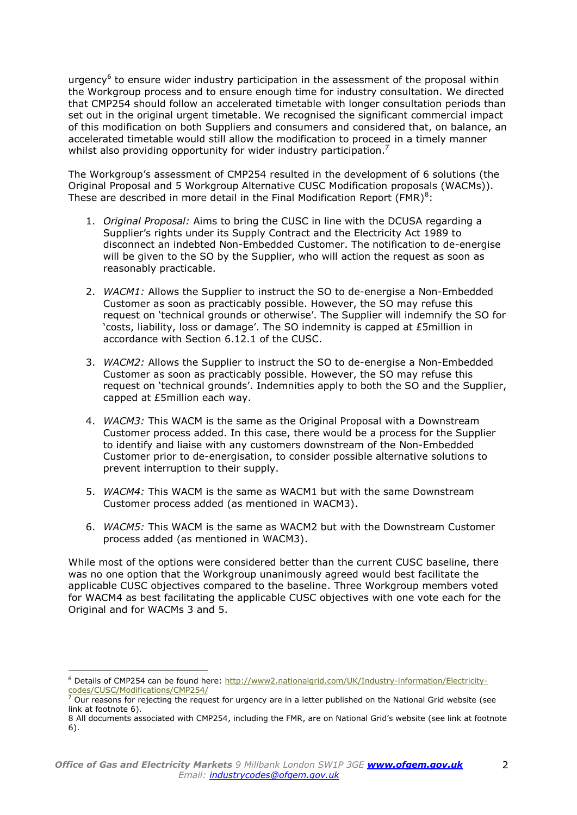urgency<sup>6</sup> to ensure wider industry participation in the assessment of the proposal within the Workgroup process and to ensure enough time for industry consultation. We directed that CMP254 should follow an accelerated timetable with longer consultation periods than set out in the original urgent timetable. We recognised the significant commercial impact of this modification on both Suppliers and consumers and considered that, on balance, an accelerated timetable would still allow the modification to proceed in a timely manner whilst also providing opportunity for wider industry participation.<sup>7</sup>

The Workgroup's assessment of CMP254 resulted in the development of 6 solutions (the Original Proposal and 5 Workgroup Alternative CUSC Modification proposals (WACMs)). These are described in more detail in the Final Modification Report (FMR) $^{8}$ :

- 1. *Original Proposal:* Aims to bring the CUSC in line with the DCUSA regarding a Supplier's rights under its Supply Contract and the Electricity Act 1989 to disconnect an indebted Non-Embedded Customer. The notification to de-energise will be given to the SO by the Supplier, who will action the request as soon as reasonably practicable.
- 2. *WACM1:* Allows the Supplier to instruct the SO to de-energise a Non-Embedded Customer as soon as practicably possible. However, the SO may refuse this request on 'technical grounds or otherwise'. The Supplier will indemnify the SO for 'costs, liability, loss or damage'. The SO indemnity is capped at £5million in accordance with Section 6.12.1 of the CUSC.
- 3. *WACM2:* Allows the Supplier to instruct the SO to de-energise a Non-Embedded Customer as soon as practicably possible. However, the SO may refuse this request on 'technical grounds'. Indemnities apply to both the SO and the Supplier, capped at £5million each way.
- 4. *WACM3:* This WACM is the same as the Original Proposal with a Downstream Customer process added. In this case, there would be a process for the Supplier to identify and liaise with any customers downstream of the Non-Embedded Customer prior to de-energisation, to consider possible alternative solutions to prevent interruption to their supply.
- 5. *WACM4:* This WACM is the same as WACM1 but with the same Downstream Customer process added (as mentioned in WACM3).
- 6. *WACM5:* This WACM is the same as WACM2 but with the Downstream Customer process added (as mentioned in WACM3).

While most of the options were considered better than the current CUSC baseline, there was no one option that the Workgroup unanimously agreed would best facilitate the applicable CUSC objectives compared to the baseline. Three Workgroup members voted for WACM4 as best facilitating the applicable CUSC objectives with one vote each for the Original and for WACMs 3 and 5.

<sup>&</sup>lt;sup>6</sup> Details of CMP254 can be found here: [http://www2.nationalgrid.com/UK/Industry-information/Electricity](http://www2.nationalgrid.com/UK/Industry-information/Electricity-codes/CUSC/Modifications/CMP254/)[codes/CUSC/Modifications/CMP254/](http://www2.nationalgrid.com/UK/Industry-information/Electricity-codes/CUSC/Modifications/CMP254/)

<sup>7</sup> Our reasons for rejecting the request for urgency are in a letter published on the National Grid website (see link at footnote 6).

<sup>8</sup> All documents associated with CMP254, including the FMR, are on National Grid's website (see link at footnote 6).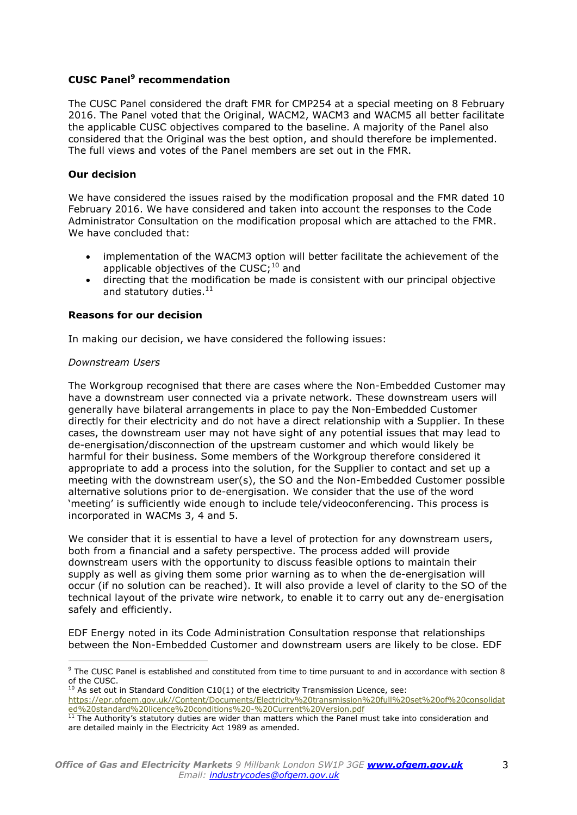# **CUSC Panel<sup>9</sup> recommendation**

The CUSC Panel considered the draft FMR for CMP254 at a special meeting on 8 February 2016. The Panel voted that the Original, WACM2, WACM3 and WACM5 all better facilitate the applicable CUSC objectives compared to the baseline. A majority of the Panel also considered that the Original was the best option, and should therefore be implemented. The full views and votes of the Panel members are set out in the FMR.

### **Our decision**

We have considered the issues raised by the modification proposal and the FMR dated 10 February 2016. We have considered and taken into account the responses to the Code Administrator Consultation on the modification proposal which are attached to the FMR. We have concluded that:

- implementation of the WACM3 option will better facilitate the achievement of the applicable objectives of the CUSC;<sup>10</sup> and
- directing that the modification be made is consistent with our principal objective and statutory duties.<sup>11</sup>

### **Reasons for our decision**

In making our decision, we have considered the following issues:

#### *Downstream Users*

The Workgroup recognised that there are cases where the Non-Embedded Customer may have a downstream user connected via a private network. These downstream users will generally have bilateral arrangements in place to pay the Non-Embedded Customer directly for their electricity and do not have a direct relationship with a Supplier. In these cases, the downstream user may not have sight of any potential issues that may lead to de-energisation/disconnection of the upstream customer and which would likely be harmful for their business. Some members of the Workgroup therefore considered it appropriate to add a process into the solution, for the Supplier to contact and set up a meeting with the downstream user(s), the SO and the Non-Embedded Customer possible alternative solutions prior to de-energisation. We consider that the use of the word 'meeting' is sufficiently wide enough to include tele/videoconferencing. This process is incorporated in WACMs 3, 4 and 5.

We consider that it is essential to have a level of protection for any downstream users, both from a financial and a safety perspective. The process added will provide downstream users with the opportunity to discuss feasible options to maintain their supply as well as giving them some prior warning as to when the de-energisation will occur (if no solution can be reached). It will also provide a level of clarity to the SO of the technical layout of the private wire network, to enable it to carry out any de-energisation safely and efficiently.

EDF Energy noted in its Code Administration Consultation response that relationships between the Non-Embedded Customer and downstream users are likely to be close. EDF

 <sup>9</sup> The CUSC Panel is established and constituted from time to time pursuant to and in accordance with section 8 of the CUSC.

<sup>&</sup>lt;sup>10</sup> As set out in Standard Condition C10(1) of the electricity Transmission Licence, see: [https://epr.ofgem.gov.uk//Content/Documents/Electricity%20transmission%20full%20set%20of%20consolidat](https://epr.ofgem.gov.uk/Content/Documents/Electricity%20transmission%20full%20set%20of%20consolidated%20standard%20licence%20conditions%20-%20Current%20Version.pdf) [ed%20standard%20licence%20conditions%20-%20Current%20Version.pdf](https://epr.ofgem.gov.uk/Content/Documents/Electricity%20transmission%20full%20set%20of%20consolidated%20standard%20licence%20conditions%20-%20Current%20Version.pdf)

 $11$  The Authority's statutory duties are wider than matters which the Panel must take into consideration and are detailed mainly in the Electricity Act 1989 as amended.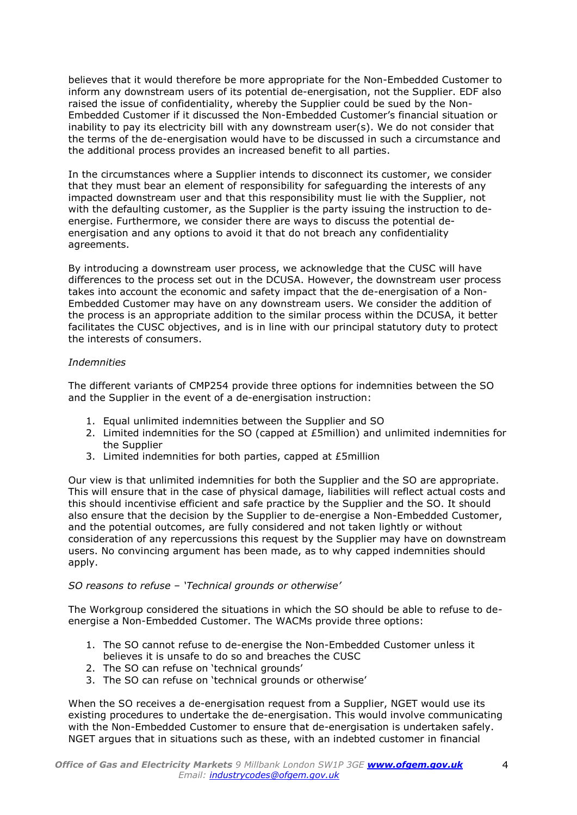believes that it would therefore be more appropriate for the Non-Embedded Customer to inform any downstream users of its potential de-energisation, not the Supplier. EDF also raised the issue of confidentiality, whereby the Supplier could be sued by the Non-Embedded Customer if it discussed the Non-Embedded Customer's financial situation or inability to pay its electricity bill with any downstream user(s). We do not consider that the terms of the de-energisation would have to be discussed in such a circumstance and the additional process provides an increased benefit to all parties.

In the circumstances where a Supplier intends to disconnect its customer, we consider that they must bear an element of responsibility for safeguarding the interests of any impacted downstream user and that this responsibility must lie with the Supplier, not with the defaulting customer, as the Supplier is the party issuing the instruction to deenergise. Furthermore, we consider there are ways to discuss the potential deenergisation and any options to avoid it that do not breach any confidentiality agreements.

By introducing a downstream user process, we acknowledge that the CUSC will have differences to the process set out in the DCUSA. However, the downstream user process takes into account the economic and safety impact that the de-energisation of a Non-Embedded Customer may have on any downstream users. We consider the addition of the process is an appropriate addition to the similar process within the DCUSA, it better facilitates the CUSC objectives, and is in line with our principal statutory duty to protect the interests of consumers.

# *Indemnities*

The different variants of CMP254 provide three options for indemnities between the SO and the Supplier in the event of a de-energisation instruction:

- 1. Equal unlimited indemnities between the Supplier and SO
- 2. Limited indemnities for the SO (capped at £5million) and unlimited indemnities for the Supplier
- 3. Limited indemnities for both parties, capped at £5million

Our view is that unlimited indemnities for both the Supplier and the SO are appropriate. This will ensure that in the case of physical damage, liabilities will reflect actual costs and this should incentivise efficient and safe practice by the Supplier and the SO. It should also ensure that the decision by the Supplier to de-energise a Non-Embedded Customer, and the potential outcomes, are fully considered and not taken lightly or without consideration of any repercussions this request by the Supplier may have on downstream users. No convincing argument has been made, as to why capped indemnities should apply.

# *SO reasons to refuse – 'Technical grounds or otherwise'*

The Workgroup considered the situations in which the SO should be able to refuse to deenergise a Non-Embedded Customer. The WACMs provide three options:

- 1. The SO cannot refuse to de-energise the Non-Embedded Customer unless it believes it is unsafe to do so and breaches the CUSC
- 2. The SO can refuse on 'technical grounds'
- 3. The SO can refuse on 'technical grounds or otherwise'

When the SO receives a de-energisation request from a Supplier, NGET would use its existing procedures to undertake the de-energisation. This would involve communicating with the Non-Embedded Customer to ensure that de-energisation is undertaken safely. NGET argues that in situations such as these, with an indebted customer in financial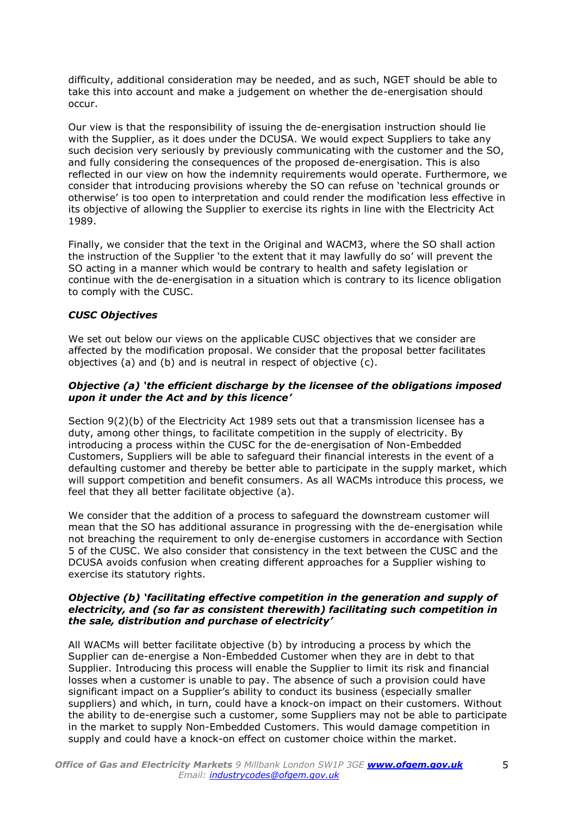difficulty, additional consideration may be needed, and as such, NGET should be able to take this into account and make a judgement on whether the de-energisation should occur.

Our view is that the responsibility of issuing the de-energisation instruction should lie with the Supplier, as it does under the DCUSA. We would expect Suppliers to take any such decision very seriously by previously communicating with the customer and the SO, and fully considering the consequences of the proposed de-energisation. This is also reflected in our view on how the indemnity requirements would operate. Furthermore, we consider that introducing provisions whereby the SO can refuse on 'technical grounds or otherwise' is too open to interpretation and could render the modification less effective in its objective of allowing the Supplier to exercise its rights in line with the Electricity Act 1989.

Finally, we consider that the text in the Original and WACM3, where the SO shall action the instruction of the Supplier 'to the extent that it may lawfully do so' will prevent the SO acting in a manner which would be contrary to health and safety legislation or continue with the de-energisation in a situation which is contrary to its licence obligation to comply with the CUSC.

# *CUSC Objectives*

We set out below our views on the applicable CUSC objectives that we consider are affected by the modification proposal. We consider that the proposal better facilitates objectives (a) and (b) and is neutral in respect of objective (c).

## *Objective (a) 'the efficient discharge by the licensee of the obligations imposed upon it under the Act and by this licence'*

Section 9(2)(b) of the Electricity Act 1989 sets out that a transmission licensee has a duty, among other things, to facilitate competition in the supply of electricity. By introducing a process within the CUSC for the de-energisation of Non-Embedded Customers, Suppliers will be able to safeguard their financial interests in the event of a defaulting customer and thereby be better able to participate in the supply market, which will support competition and benefit consumers. As all WACMs introduce this process, we feel that they all better facilitate objective (a).

We consider that the addition of a process to safeguard the downstream customer will mean that the SO has additional assurance in progressing with the de-energisation while not breaching the requirement to only de-energise customers in accordance with Section 5 of the CUSC. We also consider that consistency in the text between the CUSC and the DCUSA avoids confusion when creating different approaches for a Supplier wishing to exercise its statutory rights.

#### *Objective (b) 'facilitating effective competition in the generation and supply of electricity, and (so far as consistent therewith) facilitating such competition in the sale, distribution and purchase of electricity'*

All WACMs will better facilitate objective (b) by introducing a process by which the Supplier can de-energise a Non-Embedded Customer when they are in debt to that Supplier. Introducing this process will enable the Supplier to limit its risk and financial losses when a customer is unable to pay. The absence of such a provision could have significant impact on a Supplier's ability to conduct its business (especially smaller suppliers) and which, in turn, could have a knock-on impact on their customers. Without the ability to de-energise such a customer, some Suppliers may not be able to participate in the market to supply Non-Embedded Customers. This would damage competition in supply and could have a knock-on effect on customer choice within the market.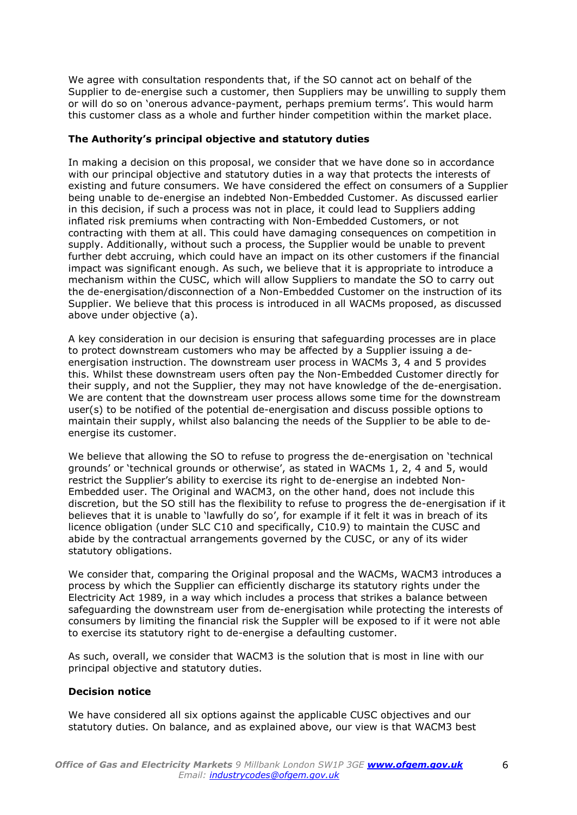We agree with consultation respondents that, if the SO cannot act on behalf of the Supplier to de-energise such a customer, then Suppliers may be unwilling to supply them or will do so on 'onerous advance-payment, perhaps premium terms'. This would harm this customer class as a whole and further hinder competition within the market place.

## **The Authority's principal objective and statutory duties**

In making a decision on this proposal, we consider that we have done so in accordance with our principal objective and statutory duties in a way that protects the interests of existing and future consumers. We have considered the effect on consumers of a Supplier being unable to de-energise an indebted Non-Embedded Customer. As discussed earlier in this decision, if such a process was not in place, it could lead to Suppliers adding inflated risk premiums when contracting with Non-Embedded Customers, or not contracting with them at all. This could have damaging consequences on competition in supply. Additionally, without such a process, the Supplier would be unable to prevent further debt accruing, which could have an impact on its other customers if the financial impact was significant enough. As such, we believe that it is appropriate to introduce a mechanism within the CUSC, which will allow Suppliers to mandate the SO to carry out the de-energisation/disconnection of a Non-Embedded Customer on the instruction of its Supplier. We believe that this process is introduced in all WACMs proposed, as discussed above under objective (a).

A key consideration in our decision is ensuring that safeguarding processes are in place to protect downstream customers who may be affected by a Supplier issuing a deenergisation instruction. The downstream user process in WACMs 3, 4 and 5 provides this. Whilst these downstream users often pay the Non-Embedded Customer directly for their supply, and not the Supplier, they may not have knowledge of the de-energisation. We are content that the downstream user process allows some time for the downstream user(s) to be notified of the potential de-energisation and discuss possible options to maintain their supply, whilst also balancing the needs of the Supplier to be able to deenergise its customer.

We believe that allowing the SO to refuse to progress the de-energisation on 'technical grounds' or 'technical grounds or otherwise', as stated in WACMs 1, 2, 4 and 5, would restrict the Supplier's ability to exercise its right to de-energise an indebted Non-Embedded user. The Original and WACM3, on the other hand, does not include this discretion, but the SO still has the flexibility to refuse to progress the de-energisation if it believes that it is unable to 'lawfully do so', for example if it felt it was in breach of its licence obligation (under SLC C10 and specifically, C10.9) to maintain the CUSC and abide by the contractual arrangements governed by the CUSC, or any of its wider statutory obligations.

We consider that, comparing the Original proposal and the WACMs, WACM3 introduces a process by which the Supplier can efficiently discharge its statutory rights under the Electricity Act 1989, in a way which includes a process that strikes a balance between safeguarding the downstream user from de-energisation while protecting the interests of consumers by limiting the financial risk the Suppler will be exposed to if it were not able to exercise its statutory right to de-energise a defaulting customer.

As such, overall, we consider that WACM3 is the solution that is most in line with our principal objective and statutory duties.

#### **Decision notice**

We have considered all six options against the applicable CUSC objectives and our statutory duties. On balance, and as explained above, our view is that WACM3 best